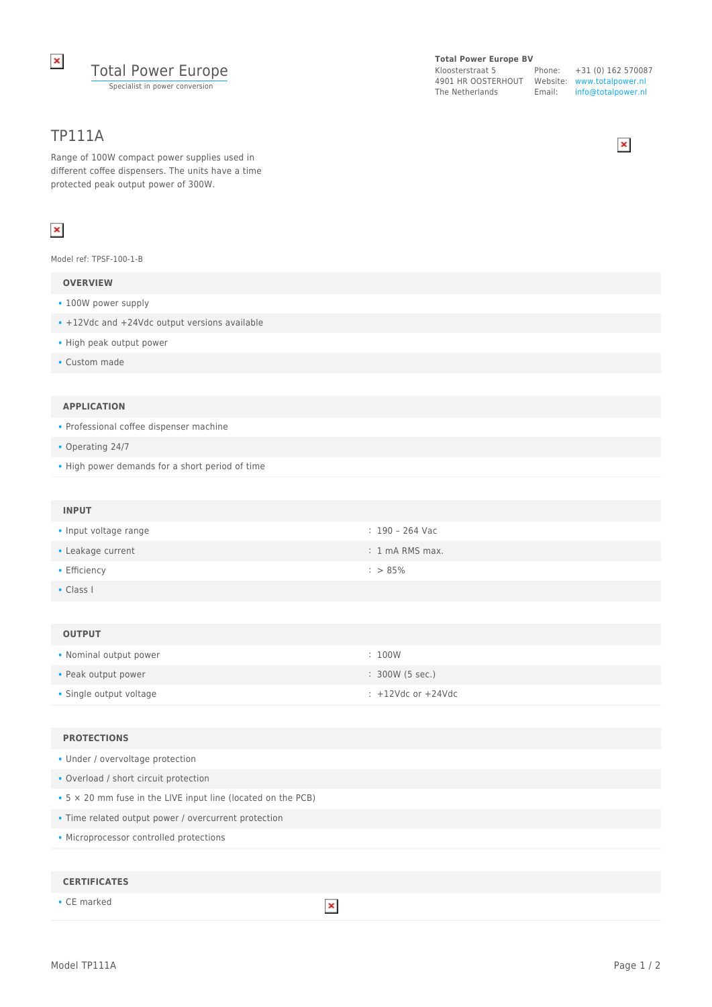

# TP111A

Range of 100W compact power supplies used in different coffee dispensers. The units have a time protected peak output power of 300W.

# $\pmb{\times}$

Model ref: TPSF-100-1-B

# **OVERVIEW**

- 100W power supply
- +12Vdc and +24Vdc output versions available
- High peak output power
- Custom made

#### **APPLICATION**

• Professional coffee dispenser machine

- Operating 24/7
- High power demands for a short period of time

### **INPUT**

| • Input voltage range | : 190 – 264 Vac           |
|-----------------------|---------------------------|
| • Leakage current     | $: 1 \text{ mA RMS max.}$ |
| • Efficiency          | $:$ > 85%                 |

• Class I

#### **OUTPUT**

| • Nominal output power  | : 100W             |
|-------------------------|--------------------|
| • Peak output power     | : 300W (5 sec.)    |
| • Single output voltage | : +12Vdc or +24Vdc |

# **PROTECTIONS**

| • Under / overvoltage protection |  |
|----------------------------------|--|
|----------------------------------|--|

- Overload / short circuit protection
- 5 × 20 mm fuse in the LIVE input line (located on the PCB)
- Time related output power / overcurrent protection
- Microprocessor controlled protections

#### **CERTIFICATES**

• CE marked

 $\pmb{\times}$ 

#### **Total Power Europe BV**

Kloosterstraat 5 4901 HR OOSTERHOUT Website: www.totalpower.nl The Netherlands Email:

Phone: +31 (0) 162 570087 info@totalpower.nl